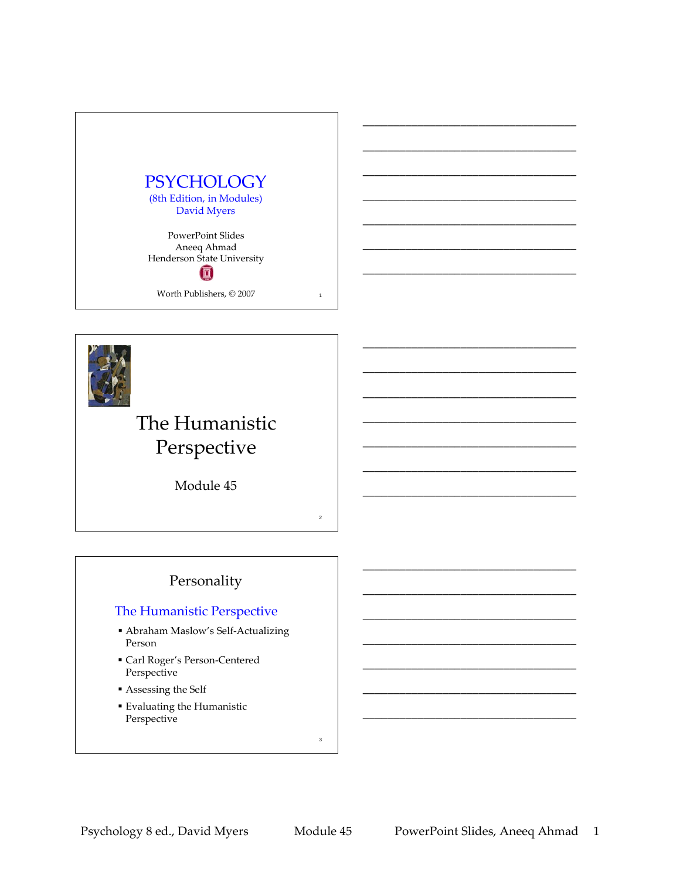



# The Humanistic Perspective

Module 45

## Personality

### The Humanistic Perspective

- Abraham Maslow's Self‐Actualizing Person
- Carl Roger's Person‐Centered Perspective
- Assessing the Self
- Evaluating the Humanistic Perspective

3

2

\_\_\_\_\_\_\_\_\_\_\_\_\_\_\_\_\_\_\_\_\_\_\_\_\_\_\_\_\_\_\_\_\_\_\_

\_\_\_\_\_\_\_\_\_\_\_\_\_\_\_\_\_\_\_\_\_\_\_\_\_\_\_\_\_\_\_\_\_\_\_

\_\_\_\_\_\_\_\_\_\_\_\_\_\_\_\_\_\_\_\_\_\_\_\_\_\_\_\_\_\_\_\_\_\_\_

\_\_\_\_\_\_\_\_\_\_\_\_\_\_\_\_\_\_\_\_\_\_\_\_\_\_\_\_\_\_\_\_\_\_\_

\_\_\_\_\_\_\_\_\_\_\_\_\_\_\_\_\_\_\_\_\_\_\_\_\_\_\_\_\_\_\_\_\_\_\_

\_\_\_\_\_\_\_\_\_\_\_\_\_\_\_\_\_\_\_\_\_\_\_\_\_\_\_\_\_\_\_\_\_\_\_

\_\_\_\_\_\_\_\_\_\_\_\_\_\_\_\_\_\_\_\_\_\_\_\_\_\_\_\_\_\_\_\_\_\_\_

\_\_\_\_\_\_\_\_\_\_\_\_\_\_\_\_\_\_\_\_\_\_\_\_\_\_\_\_\_\_\_\_\_\_\_

\_\_\_\_\_\_\_\_\_\_\_\_\_\_\_\_\_\_\_\_\_\_\_\_\_\_\_\_\_\_\_\_\_\_\_

\_\_\_\_\_\_\_\_\_\_\_\_\_\_\_\_\_\_\_\_\_\_\_\_\_\_\_\_\_\_\_\_\_\_\_

\_\_\_\_\_\_\_\_\_\_\_\_\_\_\_\_\_\_\_\_\_\_\_\_\_\_\_\_\_\_\_\_\_\_\_

\_\_\_\_\_\_\_\_\_\_\_\_\_\_\_\_\_\_\_\_\_\_\_\_\_\_\_\_\_\_\_\_\_\_\_

\_\_\_\_\_\_\_\_\_\_\_\_\_\_\_\_\_\_\_\_\_\_\_\_\_\_\_\_\_\_\_\_\_\_\_

\_\_\_\_\_\_\_\_\_\_\_\_\_\_\_\_\_\_\_\_\_\_\_\_\_\_\_\_\_\_\_\_\_\_\_

\_\_\_\_\_\_\_\_\_\_\_\_\_\_\_\_\_\_\_\_\_\_\_\_\_\_\_\_\_\_\_\_\_\_\_

\_\_\_\_\_\_\_\_\_\_\_\_\_\_\_\_\_\_\_\_\_\_\_\_\_\_\_\_\_\_\_\_\_\_\_

\_\_\_\_\_\_\_\_\_\_\_\_\_\_\_\_\_\_\_\_\_\_\_\_\_\_\_\_\_\_\_\_\_\_\_

\_\_\_\_\_\_\_\_\_\_\_\_\_\_\_\_\_\_\_\_\_\_\_\_\_\_\_\_\_\_\_\_\_\_\_

\_\_\_\_\_\_\_\_\_\_\_\_\_\_\_\_\_\_\_\_\_\_\_\_\_\_\_\_\_\_\_\_\_\_\_

\_\_\_\_\_\_\_\_\_\_\_\_\_\_\_\_\_\_\_\_\_\_\_\_\_\_\_\_\_\_\_\_\_\_\_

\_\_\_\_\_\_\_\_\_\_\_\_\_\_\_\_\_\_\_\_\_\_\_\_\_\_\_\_\_\_\_\_\_\_\_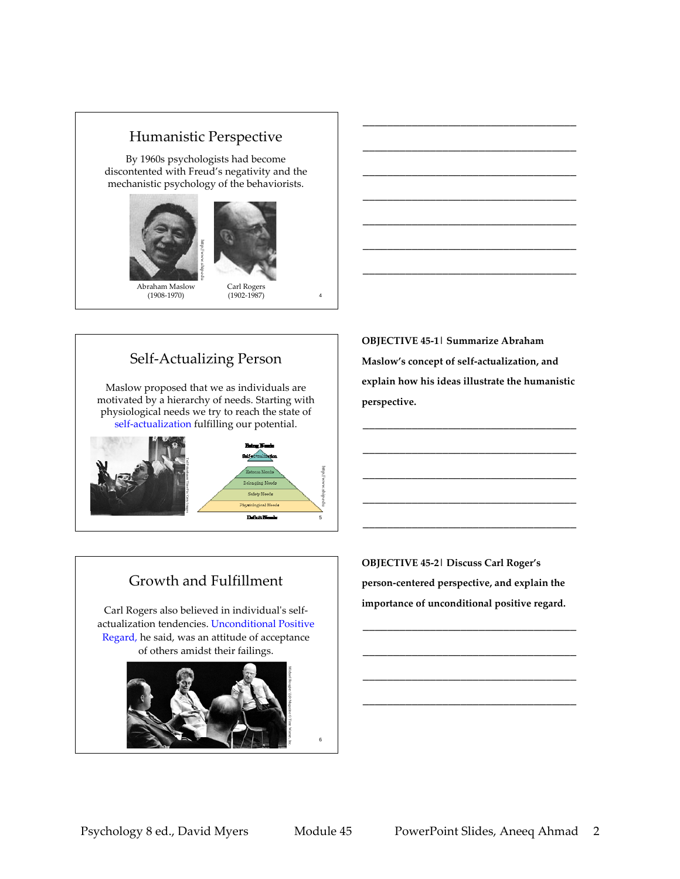### Humanistic Perspective

By 1960s psychologists had become discontented with Freud's negativity and the mechanistic psychology of the behaviorists.



(1908‐1970)

(1902‐1987)

Self‐Actualizing Person

Maslow proposed that we as individuals are motivated by a hierarchy of needs. Starting with physiological needs we try to reach the state of self‐actualization fulfilling our potential.



**OBJECTIVE 45‐1| Summarize Abraham Maslow's concept of self‐actualization, and explain how his ideas illustrate the humanistic perspective.**

\_\_\_\_\_\_\_\_\_\_\_\_\_\_\_\_\_\_\_\_\_\_\_\_\_\_\_\_\_\_\_\_\_\_\_

\_\_\_\_\_\_\_\_\_\_\_\_\_\_\_\_\_\_\_\_\_\_\_\_\_\_\_\_\_\_\_\_\_\_\_

\_\_\_\_\_\_\_\_\_\_\_\_\_\_\_\_\_\_\_\_\_\_\_\_\_\_\_\_\_\_\_\_\_\_\_

\_\_\_\_\_\_\_\_\_\_\_\_\_\_\_\_\_\_\_\_\_\_\_\_\_\_\_\_\_\_\_\_\_\_\_

\_\_\_\_\_\_\_\_\_\_\_\_\_\_\_\_\_\_\_\_\_\_\_\_\_\_\_\_\_\_\_\_\_\_\_

\_\_\_\_\_\_\_\_\_\_\_\_\_\_\_\_\_\_\_\_\_\_\_\_\_\_\_\_\_\_\_\_\_\_\_

\_\_\_\_\_\_\_\_\_\_\_\_\_\_\_\_\_\_\_\_\_\_\_\_\_\_\_\_\_\_\_\_\_\_\_

\_\_\_\_\_\_\_\_\_\_\_\_\_\_\_\_\_\_\_\_\_\_\_\_\_\_\_\_\_\_\_\_\_\_\_

\_\_\_\_\_\_\_\_\_\_\_\_\_\_\_\_\_\_\_\_\_\_\_\_\_\_\_\_\_\_\_\_\_\_\_

\_\_\_\_\_\_\_\_\_\_\_\_\_\_\_\_\_\_\_\_\_\_\_\_\_\_\_\_\_\_\_\_\_\_\_

\_\_\_\_\_\_\_\_\_\_\_\_\_\_\_\_\_\_\_\_\_\_\_\_\_\_\_\_\_\_\_\_\_\_\_

\_\_\_\_\_\_\_\_\_\_\_\_\_\_\_\_\_\_\_\_\_\_\_\_\_\_\_\_\_\_\_\_\_\_\_

# Growth and Fulfillment

Carl Rogers also believed in individual's selfactualization tendencies. Unconditional Positive Regard, he said, was an attitude of acceptance of others amidst their failings.



**OBJECTIVE 45‐2| Discuss Carl Roger's person‐centered perspective, and explain the importance of unconditional positive regard.**

\_\_\_\_\_\_\_\_\_\_\_\_\_\_\_\_\_\_\_\_\_\_\_\_\_\_\_\_\_\_\_\_\_\_\_

\_\_\_\_\_\_\_\_\_\_\_\_\_\_\_\_\_\_\_\_\_\_\_\_\_\_\_\_\_\_\_\_\_\_\_

\_\_\_\_\_\_\_\_\_\_\_\_\_\_\_\_\_\_\_\_\_\_\_\_\_\_\_\_\_\_\_\_\_\_\_

\_\_\_\_\_\_\_\_\_\_\_\_\_\_\_\_\_\_\_\_\_\_\_\_\_\_\_\_\_\_\_\_\_\_\_

6

4